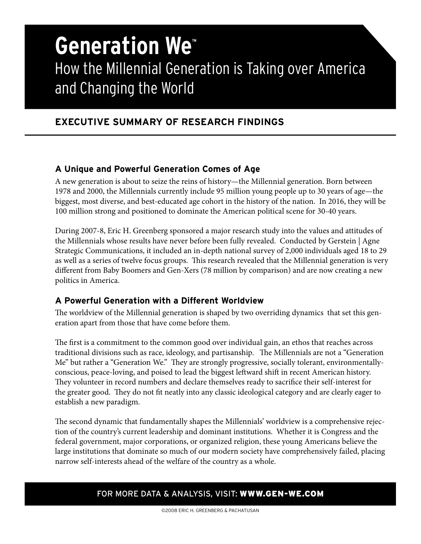# **Generation We™** How the Millennial Generation is Taking over America and Changing the World

## **EXECUTIVE SUMMARY OF RESEARCH FINDINGS**

### **A Unique and Powerful Generation Comes of Age**

A new generation is about to seize the reins of history—the Millennial generation. Born between 1978 and 2000, the Millennials currently include 95 million young people up to 30 years of age—the biggest, most diverse, and best-educated age cohort in the history of the nation. In 2016, they will be 100 million strong and positioned to dominate the American political scene for 30-40 years.

During 2007-8, Eric H. Greenberg sponsored a major research study into the values and attitudes of the Millennials whose results have never before been fully revealed. Conducted by Gerstein | Agne Strategic Communications, it included an in-depth national survey of 2,000 individuals aged 18 to 29 as well as a series of twelve focus groups. This research revealed that the Millennial generation is very different from Baby Boomers and Gen-Xers (78 million by comparison) and are now creating a new politics in America.

### **A Powerful Generation with a Different Worldview**

The worldview of the Millennial generation is shaped by two overriding dynamics that set this generation apart from those that have come before them.

The first is a commitment to the common good over individual gain, an ethos that reaches across traditional divisions such as race, ideology, and partisanship. The Millennials are not a "Generation Me" but rather a "Generation We." They are strongly progressive, socially tolerant, environmentallyconscious, peace-loving, and poised to lead the biggest leftward shift in recent American history. They volunteer in record numbers and declare themselves ready to sacrifice their self-interest for the greater good. They do not fit neatly into any classic ideological category and are clearly eager to establish a new paradigm.

The second dynamic that fundamentally shapes the Millennials' worldview is a comprehensive rejection of the country's current leadership and dominant institutions. Whether it is Congress and the federal government, major corporations, or organized religion, these young Americans believe the large institutions that dominate so much of our modern society have comprehensively failed, placing narrow self-interests ahead of the welfare of the country as a whole.

#### FOR MORE DATA & ANALYSIS, VISIT: WWW.GEN-WE.COM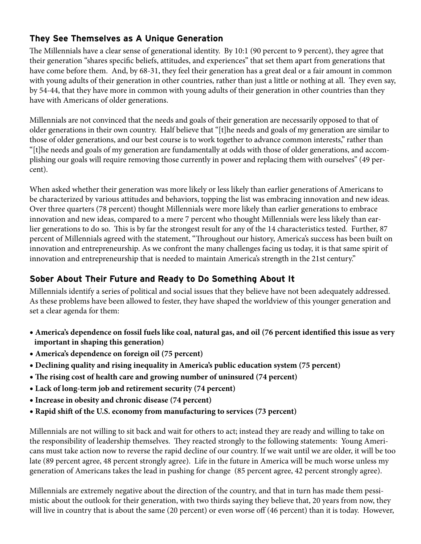## **They See Themselves as A Unique Generation**

The Millennials have a clear sense of generational identity. By 10:1 (90 percent to 9 percent), they agree that their generation "shares specific beliefs, attitudes, and experiences" that set them apart from generations that have come before them. And, by 68-31, they feel their generation has a great deal or a fair amount in common with young adults of their generation in other countries, rather than just a little or nothing at all. They even say, by 54-44, that they have more in common with young adults of their generation in other countries than they have with Americans of older generations.

Millennials are not convinced that the needs and goals of their generation are necessarily opposed to that of older generations in their own country. Half believe that "[t]he needs and goals of my generation are similar to those of older generations, and our best course is to work together to advance common interests," rather than "[t]he needs and goals of my generation are fundamentally at odds with those of older generations, and accomplishing our goals will require removing those currently in power and replacing them with ourselves" (49 percent).

When asked whether their generation was more likely or less likely than earlier generations of Americans to be characterized by various attitudes and behaviors, topping the list was embracing innovation and new ideas. Over three quarters (78 percent) thought Millennials were more likely than earlier generations to embrace innovation and new ideas, compared to a mere 7 percent who thought Millennials were less likely than earlier generations to do so. This is by far the strongest result for any of the 14 characteristics tested. Further, 87 percent of Millennials agreed with the statement, "Throughout our history, America's success has been built on innovation and entrepreneurship. As we confront the many challenges facing us today, it is that same spirit of innovation and entrepreneurship that is needed to maintain America's strength in the 21st century."

# **Sober About Their Future and Ready to Do Something About It**

Millennials identify a series of political and social issues that they believe have not been adequately addressed. As these problems have been allowed to fester, they have shaped the worldview of this younger generation and set a clear agenda for them:

- **America's dependence on fossil fuels like coal, natural gas, and oil (76 percent identified this issue as very important in shaping this generation)**
- **America's dependence on foreign oil (75 percent)**
- **Declining quality and rising inequality in America's public education system (75 percent)**
- **The rising cost of health care and growing number of uninsured (74 percent)**
- **Lack of long-term job and retirement security (74 percent)**
- **Increase in obesity and chronic disease (74 percent)**
- **Rapid shift of the U.S. economy from manufacturing to services (73 percent)**

Millennials are not willing to sit back and wait for others to act; instead they are ready and willing to take on the responsibility of leadership themselves. They reacted strongly to the following statements: Young Americans must take action now to reverse the rapid decline of our country. If we wait until we are older, it will be too late (89 percent agree, 48 percent strongly agree). Life in the future in America will be much worse unless my generation of Americans takes the lead in pushing for change (85 percent agree, 42 percent strongly agree).

Millennials are extremely negative about the direction of the country, and that in turn has made them pessimistic about the outlook for their generation, with two thirds saying they believe that, 20 years from now, they will live in country that is about the same (20 percent) or even worse off (46 percent) than it is today. However,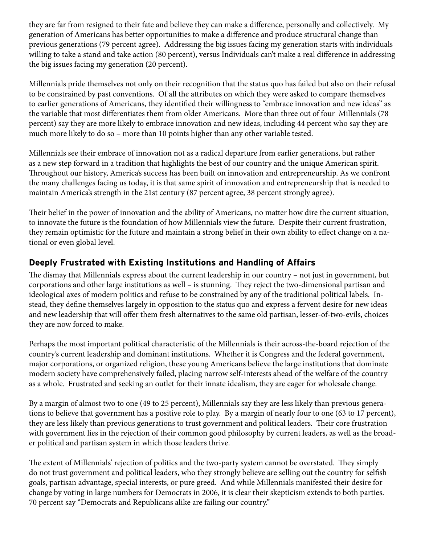they are far from resigned to their fate and believe they can make a difference, personally and collectively. My generation of Americans has better opportunities to make a difference and produce structural change than previous generations (79 percent agree). Addressing the big issues facing my generation starts with individuals willing to take a stand and take action (80 percent), versus Individuals can't make a real difference in addressing the big issues facing my generation (20 percent).

Millennials pride themselves not only on their recognition that the status quo has failed but also on their refusal to be constrained by past conventions. Of all the attributes on which they were asked to compare themselves to earlier generations of Americans, they identified their willingness to "embrace innovation and new ideas" as the variable that most differentiates them from older Americans. More than three out of four Millennials (78 percent) say they are more likely to embrace innovation and new ideas, including 44 percent who say they are much more likely to do so – more than 10 points higher than any other variable tested.

Millennials see their embrace of innovation not as a radical departure from earlier generations, but rather as a new step forward in a tradition that highlights the best of our country and the unique American spirit. Throughout our history, America's success has been built on innovation and entrepreneurship. As we confront the many challenges facing us today, it is that same spirit of innovation and entrepreneurship that is needed to maintain America's strength in the 21st century (87 percent agree, 38 percent strongly agree).

Their belief in the power of innovation and the ability of Americans, no matter how dire the current situation, to innovate the future is the foundation of how Millennials view the future. Despite their current frustration, they remain optimistic for the future and maintain a strong belief in their own ability to effect change on a national or even global level.

### **Deeply Frustrated with Existing Institutions and Handling of Affairs**

The dismay that Millennials express about the current leadership in our country – not just in government, but corporations and other large institutions as well – is stunning. They reject the two-dimensional partisan and ideological axes of modern politics and refuse to be constrained by any of the traditional political labels. Instead, they define themselves largely in opposition to the status quo and express a fervent desire for new ideas and new leadership that will offer them fresh alternatives to the same old partisan, lesser-of-two-evils, choices they are now forced to make.

Perhaps the most important political characteristic of the Millennials is their across-the-board rejection of the country's current leadership and dominant institutions. Whether it is Congress and the federal government, major corporations, or organized religion, these young Americans believe the large institutions that dominate modern society have comprehensively failed, placing narrow self-interests ahead of the welfare of the country as a whole. Frustrated and seeking an outlet for their innate idealism, they are eager for wholesale change.

By a margin of almost two to one (49 to 25 percent), Millennials say they are less likely than previous generations to believe that government has a positive role to play. By a margin of nearly four to one (63 to 17 percent), they are less likely than previous generations to trust government and political leaders. Their core frustration with government lies in the rejection of their common good philosophy by current leaders, as well as the broader political and partisan system in which those leaders thrive.

The extent of Millennials' rejection of politics and the two-party system cannot be overstated. They simply do not trust government and political leaders, who they strongly believe are selling out the country for selfish goals, partisan advantage, special interests, or pure greed. And while Millennials manifested their desire for change by voting in large numbers for Democrats in 2006, it is clear their skepticism extends to both parties. 70 percent say "Democrats and Republicans alike are failing our country."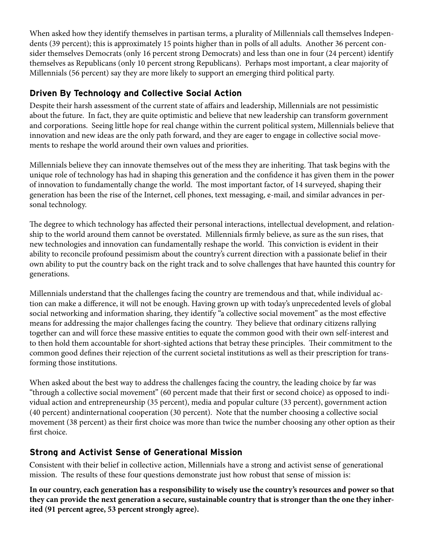When asked how they identify themselves in partisan terms, a plurality of Millennials call themselves Independents (39 percent); this is approximately 15 points higher than in polls of all adults. Another 36 percent consider themselves Democrats (only 16 percent strong Democrats) and less than one in four (24 percent) identify themselves as Republicans (only 10 percent strong Republicans). Perhaps most important, a clear majority of Millennials (56 percent) say they are more likely to support an emerging third political party.

## **Driven By Technology and Collective Social Action**

Despite their harsh assessment of the current state of affairs and leadership, Millennials are not pessimistic about the future. In fact, they are quite optimistic and believe that new leadership can transform government and corporations. Seeing little hope for real change within the current political system, Millennials believe that innovation and new ideas are the only path forward, and they are eager to engage in collective social movements to reshape the world around their own values and priorities.

Millennials believe they can innovate themselves out of the mess they are inheriting. That task begins with the unique role of technology has had in shaping this generation and the confidence it has given them in the power of innovation to fundamentally change the world. The most important factor, of 14 surveyed, shaping their generation has been the rise of the Internet, cell phones, text messaging, e-mail, and similar advances in personal technology.

The degree to which technology has affected their personal interactions, intellectual development, and relationship to the world around them cannot be overstated. Millennials firmly believe, as sure as the sun rises, that new technologies and innovation can fundamentally reshape the world. This conviction is evident in their ability to reconcile profound pessimism about the country's current direction with a passionate belief in their own ability to put the country back on the right track and to solve challenges that have haunted this country for generations.

Millennials understand that the challenges facing the country are tremendous and that, while individual action can make a difference, it will not be enough. Having grown up with today's unprecedented levels of global social networking and information sharing, they identify "a collective social movement" as the most effective means for addressing the major challenges facing the country. They believe that ordinary citizens rallying together can and will force these massive entities to equate the common good with their own self-interest and to then hold them accountable for short-sighted actions that betray these principles. Their commitment to the common good defines their rejection of the current societal institutions as well as their prescription for transforming those institutions.

When asked about the best way to address the challenges facing the country, the leading choice by far was "through a collective social movement" (60 percent made that their first or second choice) as opposed to individual action and entrepreneurship (35 percent), media and popular culture (33 percent), government action (40 percent) andinternational cooperation (30 percent). Note that the number choosing a collective social movement (38 percent) as their first choice was more than twice the number choosing any other option as their first choice.

# **Strong and Activist Sense of Generational Mission**

Consistent with their belief in collective action, Millennials have a strong and activist sense of generational mission. The results of these four questions demonstrate just how robust that sense of mission is:

**In our country, each generation has a responsibility to wisely use the country's resources and power so that they can provide the next generation a secure, sustainable country that is stronger than the one they inherited (91 percent agree, 53 percent strongly agree).**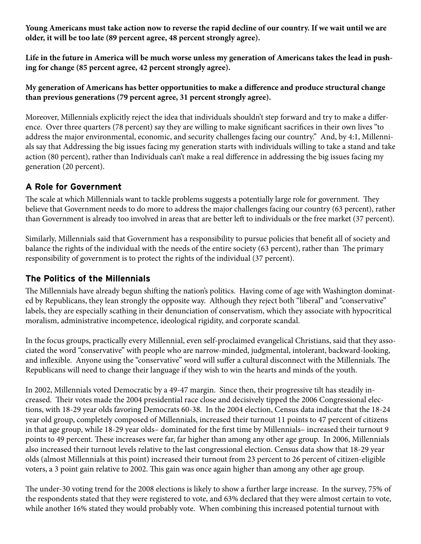**Young Americans must take action now to reverse the rapid decline of our country. If we wait until we are older, it will be too late (89 percent agree, 48 percent strongly agree).**

**Life in the future in America will be much worse unless my generation of Americans takes the lead in pushing for change (85 percent agree, 42 percent strongly agree).**

**My generation of Americans has better opportunities to make a difference and produce structural change than previous generations (79 percent agree, 31 percent strongly agree).**

Moreover, Millennials explicitly reject the idea that individuals shouldn't step forward and try to make a difference. Over three quarters (78 percent) say they are willing to make significant sacrifices in their own lives "to address the major environmental, economic, and security challenges facing our country." And, by 4:1, Millennials say that Addressing the big issues facing my generation starts with individuals willing to take a stand and take action (80 percent), rather than Individuals can't make a real difference in addressing the big issues facing my generation (20 percent).

## **A Role for Government**

The scale at which Millennials want to tackle problems suggests a potentially large role for government. They believe that Government needs to do more to address the major challenges facing our country (63 percent), rather than Government is already too involved in areas that are better left to individuals or the free market (37 percent).

Similarly, Millennials said that Government has a responsibility to pursue policies that benefit all of society and balance the rights of the individual with the needs of the entire society (63 percent), rather than The primary responsibility of government is to protect the rights of the individual (37 percent).

### **The Politics of the Millennials**

The Millennials have already begun shifting the nation's politics. Having come of age with Washington dominated by Republicans, they lean strongly the opposite way. Although they reject both "liberal" and "conservative" labels, they are especially scathing in their denunciation of conservatism, which they associate with hypocritical moralism, administrative incompetence, ideological rigidity, and corporate scandal.

In the focus groups, practically every Millennial, even self-proclaimed evangelical Christians, said that they associated the word "conservative" with people who are narrow-minded, judgmental, intolerant, backward-looking, and inflexible. Anyone using the "conservative" word will suffer a cultural disconnect with the Millennials. The Republicans will need to change their language if they wish to win the hearts and minds of the youth.

In 2002, Millennials voted Democratic by a 49-47 margin. Since then, their progressive tilt has steadily increased. Their votes made the 2004 presidential race close and decisively tipped the 2006 Congressional elections, with 18-29 year olds favoring Democrats 60-38. In the 2004 election, Census data indicate that the 18-24 year old group, completely composed of Millennials, increased their turnout 11 points to 47 percent of citizens in that age group, while 18-29 year olds– dominated for the first time by Millennials– increased their turnout 9 points to 49 percent. These increases were far, far higher than among any other age group. In 2006, Millennials also increased their turnout levels relative to the last congressional election. Census data show that 18-29 year olds (almost Millennials at this point) increased their turnout from 23 percent to 26 percent of citizen-eligible voters, a 3 point gain relative to 2002. This gain was once again higher than among any other age group.

The under-30 voting trend for the 2008 elections is likely to show a further large increase. In the survey, 75% of the respondents stated that they were registered to vote, and 63% declared that they were almost certain to vote, while another 16% stated they would probably vote. When combining this increased potential turnout with